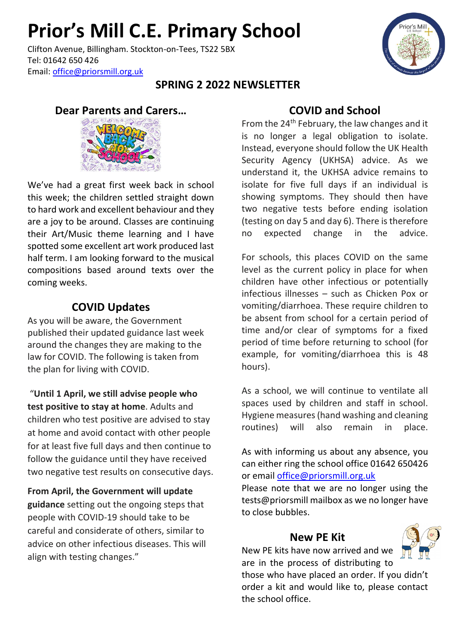# **Prior's Mill C.E. Primary School**

Clifton Avenue, Billingham. Stockton-on-Tees, TS22 5BX Tel: 01642 650 426 Email: [office@priorsmill.org.uk](mailto:office@priorsmill.org.uk)

### **SPRING 2 2022 NEWSLETTER**

### **Dear Parents and Carers…**



We've had a great first week back in school this week; the children settled straight down to hard work and excellent behaviour and they are a joy to be around. Classes are continuing their Art/Music theme learning and I have spotted some excellent art work produced last half term. I am looking forward to the musical compositions based around texts over the coming weeks.

# **COVID Updates**

As you will be aware, the Government published their updated guidance last week around the changes they are making to the law for COVID. The following is taken from the plan for living with COVID.

"**Until 1 April, we still advise people who test positive to stay at home**. Adults and children who test positive are advised to stay at home and avoid contact with other people for at least five full days and then continue to follow the guidance until they have received two negative test results on consecutive days.

**From April, the Government will update guidance** setting out the ongoing steps that people with COVID-19 should take to be careful and considerate of others, similar to advice on other infectious diseases. This will align with testing changes."

# **COVID and School**

From the 24<sup>th</sup> February, the law changes and it is no longer a legal obligation to isolate. Instead, everyone should follow the UK Health Security Agency (UKHSA) advice. As we understand it, the UKHSA advice remains to isolate for five full days if an individual is showing symptoms. They should then have two negative tests before ending isolation (testing on day 5 and day 6). There is therefore no expected change in the advice.

For schools, this places COVID on the same level as the current policy in place for when children have other infectious or potentially infectious illnesses – such as Chicken Pox or vomiting/diarrhoea. These require children to be absent from school for a certain period of time and/or clear of symptoms for a fixed period of time before returning to school (for example, for vomiting/diarrhoea this is 48 hours).

As a school, we will continue to ventilate all spaces used by children and staff in school. Hygiene measures (hand washing and cleaning routines) will also remain in place.

As with informing us about any absence, you can either ring the school office 01642 650426 or email [office@priorsmill.org.uk](mailto:office@priorsmill.org.uk)

Please note that we are no longer using the tests@priorsmill mailbox as we no longer have to close bubbles.

### **New PE Kit**

New PE kits have now arrived and we are in the process of distributing to

those who have placed an order. If you didn't order a kit and would like to, please contact the school office.